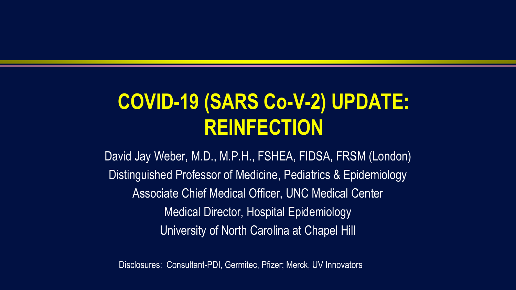# **COVID-19 (SARS Co-V-2) UPDATE: REINFECTION**

David Jay Weber, M.D., M.P.H., FSHEA, FIDSA, FRSM (London) Distinguished Professor of Medicine, Pediatrics & Epidemiology Associate Chief Medical Officer, UNC Medical Center Medical Director, Hospital Epidemiology University of North Carolina at Chapel Hill

Disclosures: Consultant-PDI, Germitec, Pfizer; Merck, UV Innovators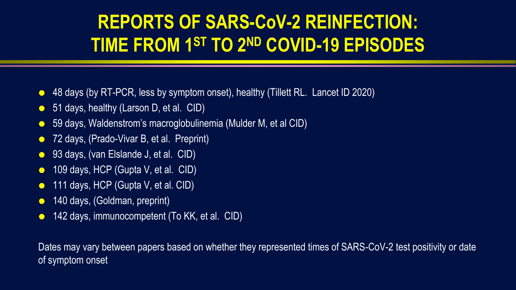# **REPORTS OF SARS-CoV-2 REINFECTION: TIME FROM 1ST TO 2ND COVID-19 EPISODES**

- 48 days (by RT-PCR, less by symptom onset), healthy (Tillett RL. Lancet ID 2020)
- 51 days, healthy (Larson D, et al. CID)
- 59 days, Waldenstrom's macroglobulinemia (Mulder M, et al CID)
- 72 days, (Prado-Vivar B, et al. Preprint)
- 93 days, (van Elslande J, et al. CID)
- 109 days, HCP (Gupta V, et al. CID)
- 111 days, HCP (Gupta V, et al. CID)
- 140 days, (Goldman, preprint)
- 142 days, immunocompetent (To KK, et al. CID)

Dates may vary between papers based on whether they represented times of SARS-CoV-2 test positivity or date of symptom onset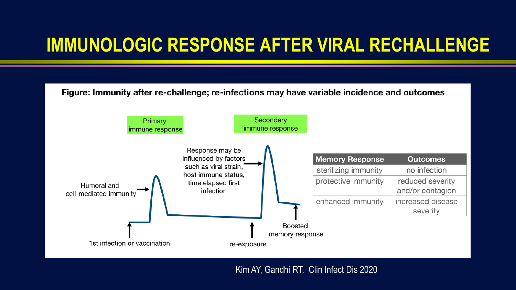#### **IMMUNOLOGIC RESPONSE AFTER VIRAL RECHALLENGE**

Figure: Immunity after re-challenge; re-infections may have variable incidence and outcomes



#### Kim AY, Gandhi RT. Clin Infect Dis 2020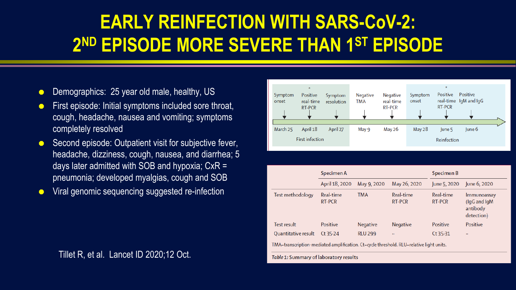# **EARLY REINFECTION WITH SARS-CoV-2: 2ND EPISODE MORE SEVERE THAN 1ST EPISODE**

- $\bullet$  Demographics: 25 year old male, healthy, US
- First episode: Initial symptoms included sore throat, cough, headache, nausea and vomiting; symptoms completely resolved
- Second episode: Outpatient visit for subjective fever, headache, dizziness, cough, nausea, and diarrhea; 5 days later admitted with SOB and hypoxia;  $CxR =$ pneumonia; developed myalgias, cough and SOB
- Viral genomic sequencing suggested re-infection





|                         | Specimen A          |                 | Specimen B           |                     |                                                       |
|-------------------------|---------------------|-----------------|----------------------|---------------------|-------------------------------------------------------|
|                         | April 18, 2020      | May 9, 2020     | May 26, 2020         | June 5, 2020        | June 6, 2020                                          |
| <b>Test methodology</b> | Real-time<br>RT-PCR | <b>TMA</b>      | Real-time<br>RT-PCR  | Real-time<br>RT-PCR | Immunoassay<br>(IgG and IgM<br>antibody<br>detection) |
| Test result             | <b>Positive</b>     | <b>Negative</b> | <b>Negative</b>      | <b>Positive</b>     | <b>Positive</b>                                       |
| Quantitative result     | $Ct$ 35.24          | <b>RLU 299</b>  | $\ddot{\phantom{a}}$ | $Ct$ 35.31          | $\ddot{\phantom{a}}$                                  |

Table 1: Summary of laboratory results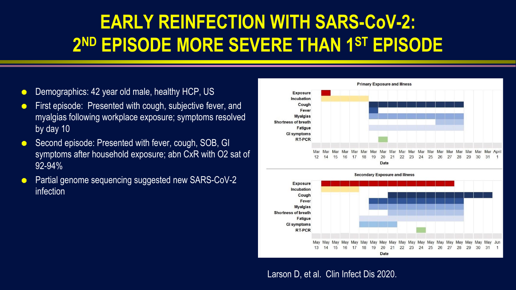# **EARLY REINFECTION WITH SARS-CoV-2: 2ND EPISODE MORE SEVERE THAN 1ST EPISODE**

- Demographics: 42 year old male, healthy HCP, US
- First episode: Presented with cough, subjective fever, and myalgias following workplace exposure; symptoms resolved by day 10
- Second episode: Presented with fever, cough, SOB, GI symptoms after household exposure; abn CxR with O2 sat of 92-94%
- Partial genome sequencing suggested new SARS-CoV-2 infection





Larson D, et al. Clin Infect Dis 2020.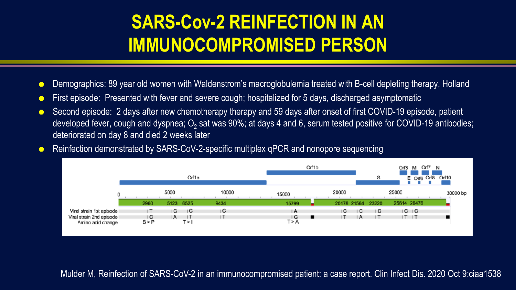## **SARS-Cov-2 REINFECTION IN AN IMMUNOCOMPROMISED PERSON**

- Demographics: 89 year old women with Waldenstrom's macroglobulemia treated with B-cell depleting therapy, Holland
- **•** First episode: Presented with fever and severe cough; hospitalized for 5 days, discharged asymptomatic
- Second episode: 2 days after new chemotherapy therapy and 59 days after onset of first COVID-19 episode, patient developed fever, cough and dyspnea;  $O_2$  sat was 90%; at days 4 and 6, serum tested positive for COVID-19 antibodies; deteriorated on day 8 and died 2 weeks later
- Reinfection demonstrated by SARS-CoV-2-specific multiplex qPCR and nonopore sequencing



Mulder M, Reinfection of SARS-CoV-2 in an immunocompromised patient: a case report. Clin Infect Dis. 2020 Oct 9:ciaa1538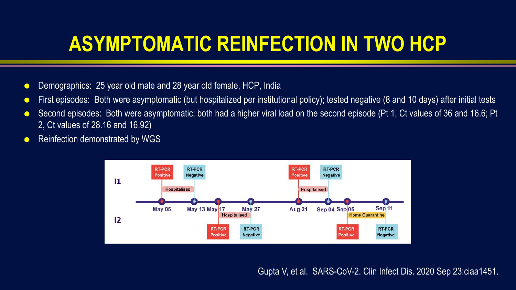# **ASYMPTOMATIC REINFECTION IN TWO HCP**

- **•** Demographics: 25 year old male and 28 year old female, HCP, India
- **•** First episodes: Both were asymptomatic (but hospitalized per institutional policy); tested negative (8 and 10 days) after initial tests
- Second episodes: Both were asymptomatic; both had a higher viral load on the second episode (Pt 1, Ct values of 36 and 16.6; Pt 2, Ct values of 28.16 and 16.92)
- Reinfection demonstrated by WGS



Gupta V, et al. SARS-CoV-2. Clin Infect Dis. 2020 Sep 23:ciaa1451.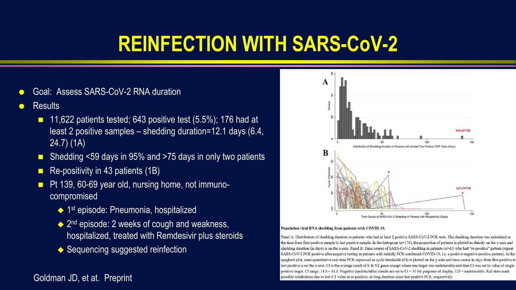### **REINFECTION WITH SARS-CoV-2**

- Goal: Assess SARS-CoV-2 RNA duration
- **Results** 
	- 11,622 patients tested; 643 positive test (5.5%); 176 had at least 2 positive samples – shedding duration=12.1 days (6.4, 24.7) (1A)
	- Shedding <59 days in 95% and >75 days in only two patients
	- Re-positivity in 43 patients  $(1B)$
	- **Pt 139, 60-69 year old, nursing home, not immuno**compromised
		- $\triangle$  1<sup>st</sup> episode: Pneumonia, hospitalized
		- $\triangle$  2<sup>nd</sup> episode: 2 weeks of cough and weakness, hospitalized, treated with Remdesivir plus steroids
		- ◆ Sequencing suggested reinfection





#### Population viral RNA shedding from patients with COVID-19.

Panel A: Distribution of shedding duration in patients who had at least 2 positive SARS-CoV-2 PCR tests. The shedding duration was calculated as the time from first positive sample to last positive sample. In the histogram  $(n=176)$ , the proportion of patients is plotted as density on the y-axis and shedding duration (in days) is on the x-axis. Panel B: Time course of SARS-CoV-2 shedding in patients (n=43) who had "re-positive" pattern (repeat SARS-CoV-2 PCR positive after negative testing in patients with initially PCR-confirmed COVID-19, i.e. a positive-negative-positive pattern). In the spaghetti plot, semi-quantitative real-time PCR expressed in cycle thresholds (Ct) is plotted on the y-axis and time course in days from first positive to last positive is on the x-axis. Ct is the average result of  $E \& N2$  genes except where one target was undetectable and then Ct was set to value of single positive target. Ct range: 14.9 - 44.0. Negative (undetectable) results are set to Ct = 50 for purposes of display. UD = undetectable. Red stars mark possible reinfections due to low CT value at re-positive, or long duration since last positive PCR, respectively.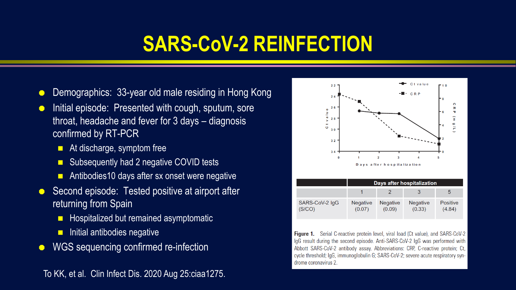## **SARS-CoV-2 REINFECTION**

- Demographics: 33-year old male residing in Hong Kong
- Initial episode: Presented with cough, sputum, sore throat, headache and fever for 3 days – diagnosis confirmed by RT-PCR
	- At discharge, symptom free
	- Subsequently had 2 negative COVID tests
	- Antibodies10 days after sx onset were negative
- Second episode: Tested positive at airport after returning from Spain
	- Hospitalized but remained asymptomatic
	- Initial antibodies negative
- **•** WGS sequencing confirmed re-infection

To KK, et al. Clin Infect Dis. 2020 Aug 25:ciaa1275.



**Figure 1.** Serial C-reactive protein level, viral load (Ct value), and SARS-CoV-2 IgG result during the second episode. Anti-SARS-CoV-2 IgG was performed with Abbott SARS-CoV-2 antibody assay. Abbreviations: CRP, C-reactive protein; Ct, cycle threshold; IgG, immunoglobulin G; SARS-CoV-2; severe acute respiratory syndrome coronavirus 2.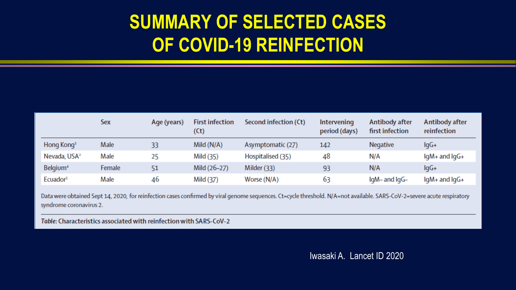#### **SUMMARY OF SELECTED CASES OF COVID-19 REINFECTION**

|                          | Sex    | Age (years) | <b>First infection</b><br>$($ Ct $)$ | Second infection (Ct) | Intervening<br>period (days) | Antibody after<br>first infection | Antibody after<br>reinfection |
|--------------------------|--------|-------------|--------------------------------------|-----------------------|------------------------------|-----------------------------------|-------------------------------|
| Hong Kong <sup>3</sup>   | Male   | 33          | Mild $(N/A)$                         | Asymptomatic (27)     | 142                          | <b>Negative</b>                   | $IqG+$                        |
| Nevada, USA <sup>2</sup> | Male   | 25          | Mild (35)                            | Hospitalised (35)     | 48                           | N/A                               | $lgM+$ and $lgG+$             |
| Belgium <sup>4</sup>     | Female | 51          | Mild (26-27)                         | Milder (33)           | 93                           | N/A                               | $IqG+$                        |
| Ecuador <sup>5</sup>     | Male   | 46          | Mild (37)                            | Worse (N/A)           | 63                           | lgM- and lgG-                     | $lgM+$ and $lgG+$             |

Data were obtained Sept 14, 2020, for reinfection cases confirmed by viral genome sequences. Ct=cycle threshold. N/A=not available. SARS-CoV-2=severe acute respiratory syndrome coronavirus 2.

Table: Characteristics associated with reinfection with SARS-CoV-2

Iwasaki A. Lancet ID 2020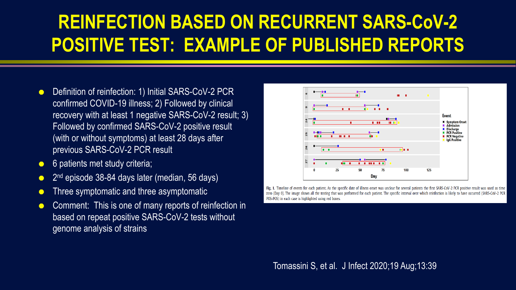# **REINFECTION BASED ON RECURRENT SARS-CoV-2 POSITIVE TEST: EXAMPLE OF PUBLISHED REPORTS**

- **O** Definition of reinfection: 1) Initial SARS-CoV-2 PCR confirmed COVID-19 illness; 2) Followed by clinical recovery with at least 1 negative SARS-CoV-2 result; 3) Followed by confirmed SARS-CoV-2 positive result (with or without symptoms) at least 28 days after previous SARS-CoV-2 PCR result
- **6** 6 patients met study criteria;
- $\bullet$  2<sup>nd</sup> episode 38-84 days later (median, 56 days)
- Three symptomatic and three asymptomatic
- Comment: This is one of many reports of reinfection in based on repeat positive SARS-CoV-2 tests without genome analysis of strains



Fig. 1. Timeline of events for each patient. As the specific date of illness onset was unclear for several patients the first SARS-CoV-2 PCR positive result was used as time zero (Day 0). The image shows all the testing that was performed for each patient. The specific interval over which reinfection is likely to have occurred (SARS-CoV-2 PCR POS-POS) in each case is highlighted using red boxes.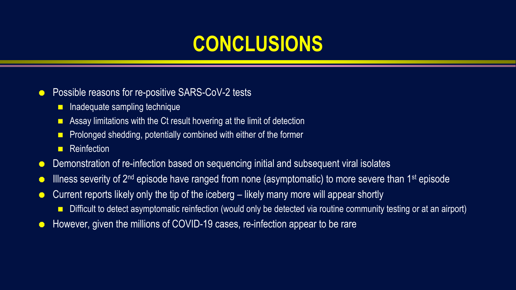# **CONCLUSIONS**

#### ● Possible reasons for re-positive SARS-CoV-2 tests

- Inadequate sampling technique
- **Assay limitations with the Ct result hovering at the limit of detection**
- Prolonged shedding, potentially combined with either of the former
- **Reinfection**
- **O** Demonstration of re-infection based on sequencing initial and subsequent viral isolates
- $\bullet$  Illness severity of 2<sup>nd</sup> episode have ranged from none (asymptomatic) to more severe than 1<sup>st</sup> episode
- Current reports likely only the tip of the iceberg likely many more will appear shortly
	- Difficult to detect asymptomatic reinfection (would only be detected via routine community testing or at an airport)
- However, given the millions of COVID-19 cases, re-infection appear to be rare